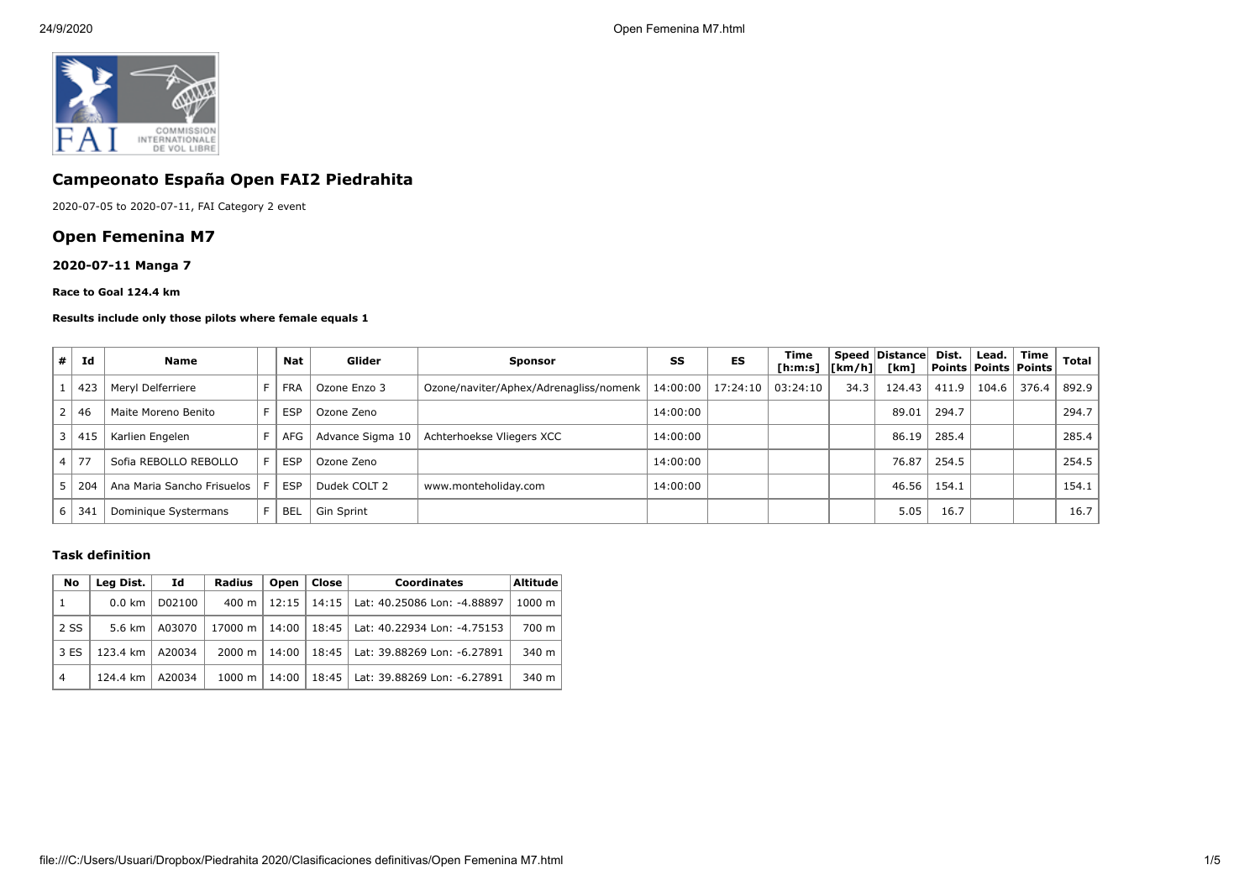

# **Campeonato España Open FAI2 Piedrahita**

2020-07-05 to 2020-07-11, FAI Category 2 event

# **Open Femenina M7**

## **2020-07-11 Manga 7**

#### **Race to Goal 124.4 km**

#### **Results include only those pilots where female equals 1**

| # | Id      | <b>Name</b>                |    | Nat        | Glider            | <b>Sponsor</b>                         | SS       | ES       | Time<br>[h:m:s] $ [km/h] $ |      | Speed Distance<br>[km] | Dist. | Lead. | Time<br>  Points   Points   Points | Total |
|---|---------|----------------------------|----|------------|-------------------|----------------------------------------|----------|----------|----------------------------|------|------------------------|-------|-------|------------------------------------|-------|
|   | 423     | Meryl Delferriere          |    | <b>FRA</b> | Ozone Enzo 3      | Ozone/naviter/Aphex/Adrenagliss/nomenk | 14:00:00 | 17:24:10 | 03:24:10                   | 34.3 | 124.43                 | 411.9 | 104.6 | 376.4                              | 892.9 |
|   | 46      | Maite Moreno Benito        | F. | <b>ESP</b> | Ozone Zeno        |                                        | 14:00:00 |          |                            |      | 89.01                  | 294.7 |       |                                    | 294.7 |
| 3 | 41      | Karlien Engelen            |    | AFG        | Advance Sigma 10  | Achterhoekse Vliegers XCC              | 14:00:00 |          |                            |      | 86.19                  | 285.4 |       |                                    | 285.4 |
|   | $.4$ 77 | Sofia REBOLLO REBOLLO      | F. | <b>ESP</b> | Ozone Zeno        |                                        | 14:00:00 |          |                            |      | 76.87                  | 254.5 |       |                                    | 254.5 |
|   | 204     | Ana Maria Sancho Frisuelos | F. | <b>ESP</b> | Dudek COLT 2      | www.monteholiday.com                   | 14:00:00 |          |                            |      | 46.56                  | 154.1 |       |                                    | 154.1 |
| b | 34.     | Dominique Systermans       |    | <b>BEL</b> | <b>Gin Sprint</b> |                                        |          |          |                            |      | 5.05                   | 16.7  |       |                                    | 16.7  |

### **Task definition**

| No             | Lea Dist.<br>Id  |        | Radius          | Open  | Close | <b>Coordinates</b>                  | Altitude <sup>!</sup> |
|----------------|------------------|--------|-----------------|-------|-------|-------------------------------------|-----------------------|
| $\mathbf{1}$   | $0.0 \text{ km}$ | D02100 | $400 \text{ m}$ | 12:15 |       | 14:15   Lat: 40.25086 Lon: -4.88897 | 1000 m                |
| 2 SS           | 5.6 km           | A03070 | 17000 m   14:00 |       |       | 18:45   Lat: 40.22934 Lon: -4.75153 | 700 m                 |
| 3 ES           | 123.4 km         | A20034 | 2000 m          | 14:00 |       | 18:45   Lat: 39.88269 Lon: -6.27891 | $340 \text{ m}$       |
| $\overline{4}$ | 124.4 km         | A20034 | 1000 m          | 14:00 |       | 18:45   Lat: 39.88269 Lon: -6.27891 | $340 \text{ m}$       |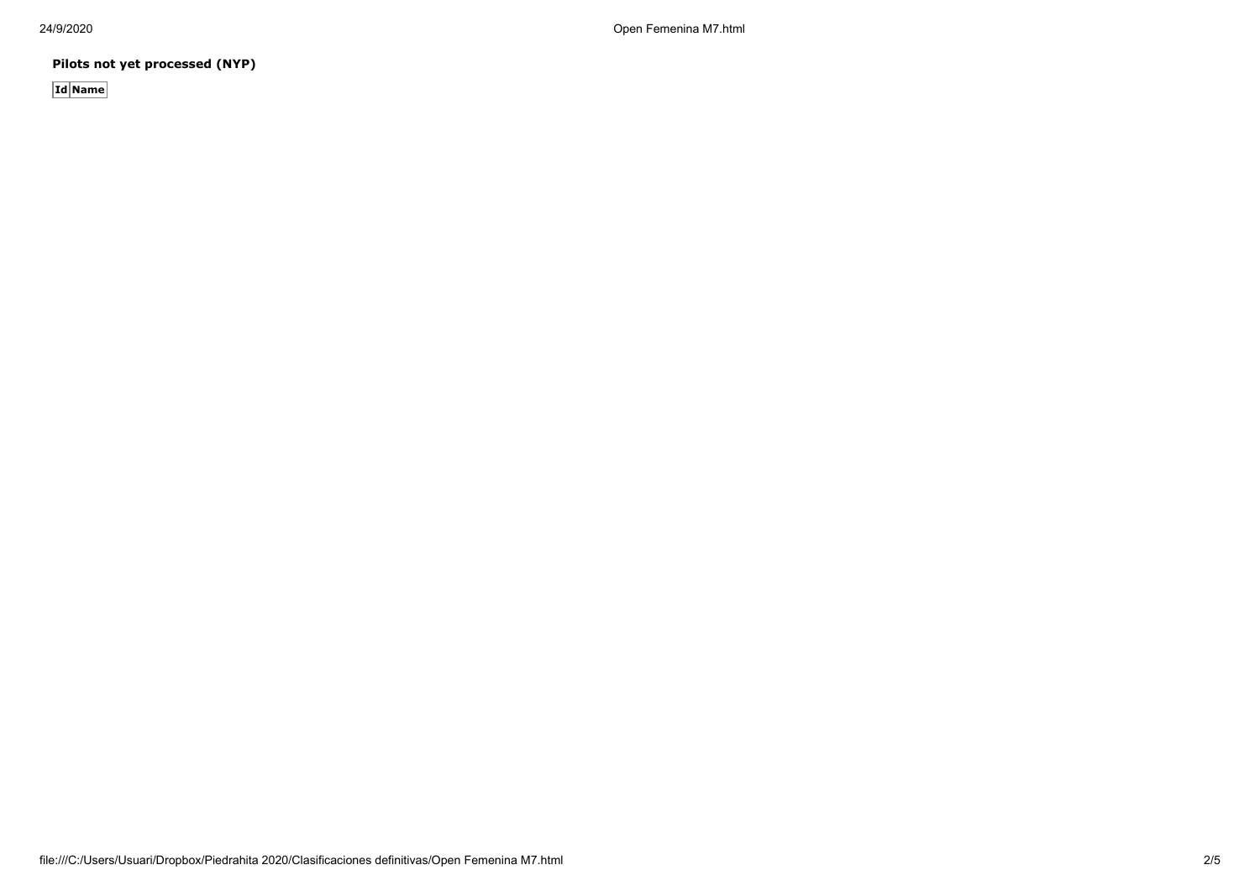24/9/2020 Open Femenina M7.html

**Pilots not yet processed (NYP)**

**Id Name**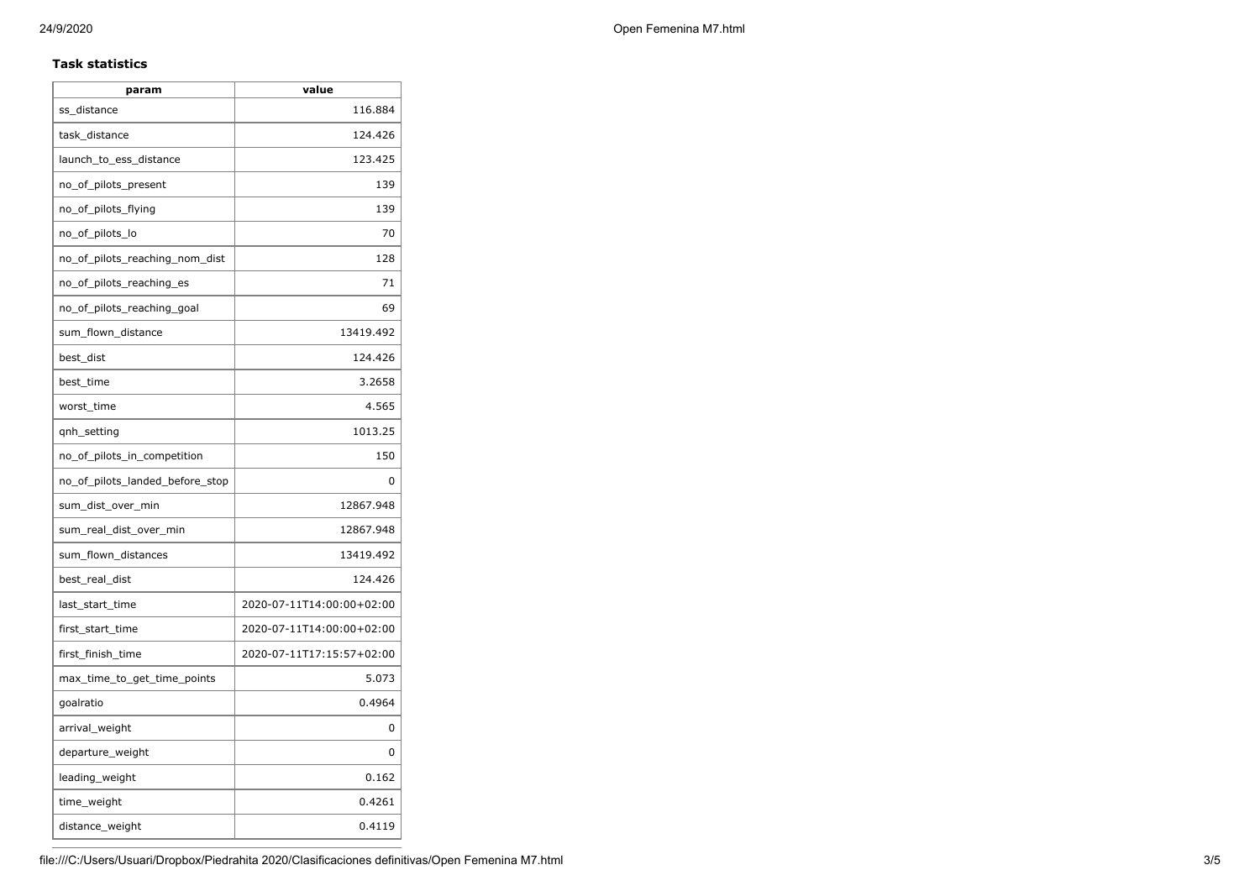## **Task statistics**

| param                           | value                     |  |  |  |  |
|---------------------------------|---------------------------|--|--|--|--|
| ss_distance                     | 116.884                   |  |  |  |  |
| task_distance                   | 124.426                   |  |  |  |  |
| launch_to_ess_distance          | 123.425                   |  |  |  |  |
| no_of_pilots_present            | 139                       |  |  |  |  |
| no_of_pilots_flying             | 139                       |  |  |  |  |
| no_of_pilots_lo                 | 70                        |  |  |  |  |
| no_of_pilots_reaching_nom_dist  | 128                       |  |  |  |  |
| no_of_pilots_reaching_es        | 71                        |  |  |  |  |
| no_of_pilots_reaching_goal      | 69                        |  |  |  |  |
| sum_flown_distance              | 13419.492                 |  |  |  |  |
| best dist                       | 124.426                   |  |  |  |  |
| best_time                       | 3.2658                    |  |  |  |  |
| worst_time                      | 4.565                     |  |  |  |  |
| qnh_setting                     | 1013.25                   |  |  |  |  |
| no_of_pilots_in_competition     | 150                       |  |  |  |  |
| no_of_pilots_landed_before_stop | 0                         |  |  |  |  |
| sum_dist_over_min               | 12867.948                 |  |  |  |  |
| sum_real_dist_over_min          | 12867.948                 |  |  |  |  |
| sum_flown_distances             | 13419.492                 |  |  |  |  |
| best_real_dist                  | 124.426                   |  |  |  |  |
| last_start_time                 | 2020-07-11T14:00:00+02:00 |  |  |  |  |
| first_start_time                | 2020-07-11T14:00:00+02:00 |  |  |  |  |
| first_finish_time               | 2020-07-11T17:15:57+02:00 |  |  |  |  |
| max_time_to_get_time_points     | 5.073                     |  |  |  |  |
| goalratio                       | 0.4964                    |  |  |  |  |
| arrival_weight                  | 0                         |  |  |  |  |
| departure_weight                | 0                         |  |  |  |  |
| leading_weight                  | 0.162                     |  |  |  |  |
| time_weight                     | 0.4261                    |  |  |  |  |
| distance_weight                 | 0.4119                    |  |  |  |  |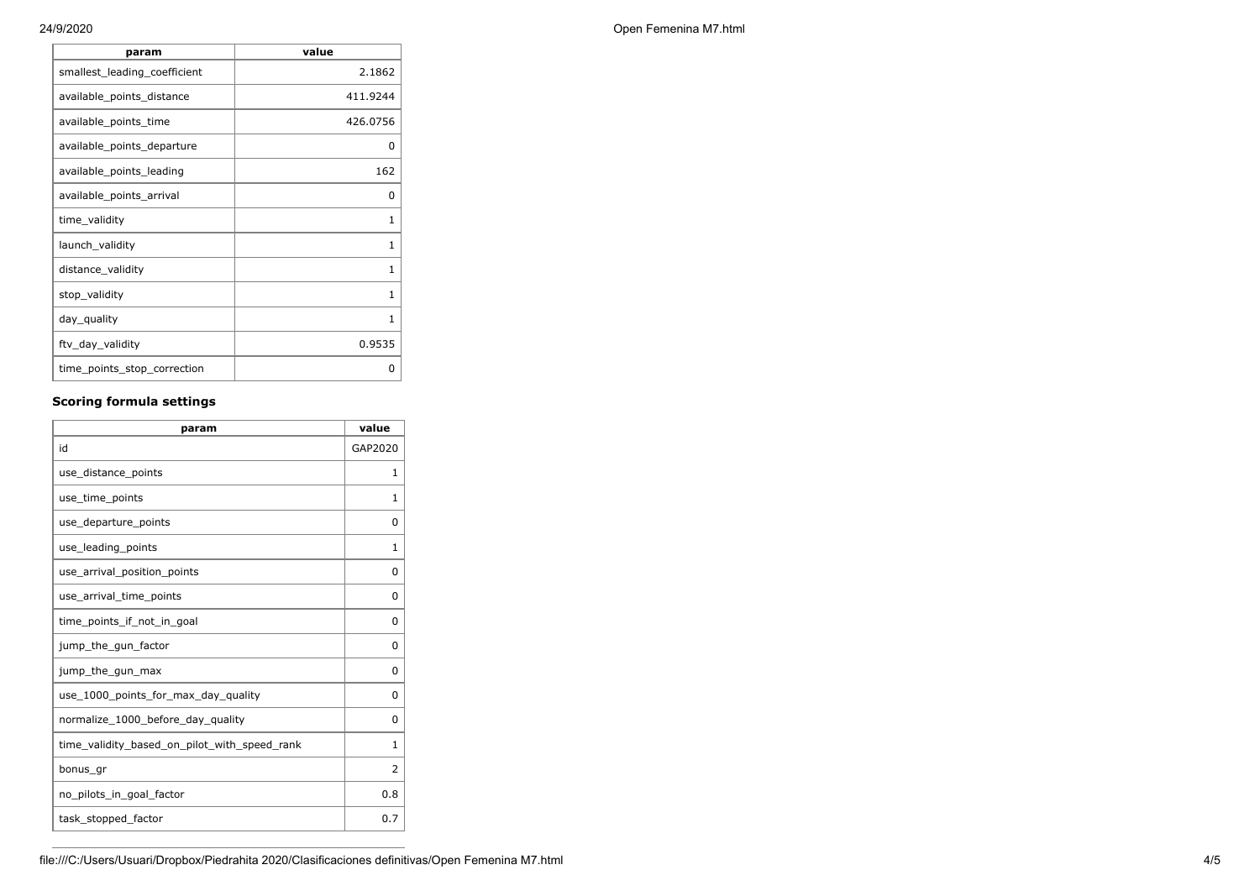| param                        | value        |
|------------------------------|--------------|
| smallest_leading_coefficient | 2.1862       |
| available_points_distance    | 411.9244     |
| available_points_time        | 426.0756     |
| available_points_departure   | 0            |
| available_points_leading     | 162          |
| available_points_arrival     | 0            |
| time_validity                | 1            |
| launch_validity              | 1            |
| distance_validity            | $\mathbf{1}$ |
| stop_validity                | $\mathbf{1}$ |
| day_quality                  | 1            |
| ftv_day_validity             | 0.9535       |
| time_points_stop_correction  | 0            |

#### **Scoring formula settings**

| param                                        | value          |
|----------------------------------------------|----------------|
| id                                           | GAP2020        |
| use_distance_points                          | 1              |
| use_time_points                              | 1              |
| use_departure_points                         | $\Omega$       |
| use_leading_points                           | 1              |
| use_arrival_position_points                  | 0              |
| use_arrival_time_points                      | 0              |
| time points if not in goal                   | $\Omega$       |
| jump_the_gun_factor                          | $\Omega$       |
| jump_the_gun_max                             | 0              |
| use 1000 points for max day quality          | $\Omega$       |
| normalize_1000_before_day_quality            | 0              |
| time_validity_based_on_pilot_with_speed_rank | 1              |
| bonus_gr                                     | $\overline{2}$ |
| no_pilots_in_goal_factor                     | 0.8            |
| task_stopped_factor                          | 0.7            |

24/9/2020 Open Femenina M7.html